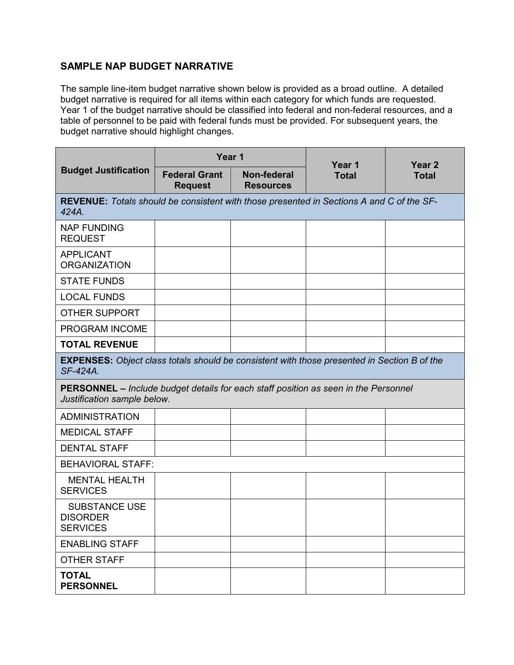## **SAMPLE NAP BUDGET NARRATIVE**

budget narrative is required for all items within each category for which funds are requested. table of personnel to be paid with federal funds must be provided. For subsequent years, the The sample line-item budget narrative shown below is provided as a broad outline. A detailed Year 1 of the budget narrative should be classified into federal and non-federal resources, and a budget narrative should highlight changes.

| <b>Budget Justification</b>                                                                                               | Year 1                                 |                                        | Year 1       | Year <sub>2</sub> |
|---------------------------------------------------------------------------------------------------------------------------|----------------------------------------|----------------------------------------|--------------|-------------------|
|                                                                                                                           | <b>Federal Grant</b><br><b>Request</b> | <b>Non-federal</b><br><b>Resources</b> | <b>Total</b> | <b>Total</b>      |
| <b>REVENUE:</b> Totals should be consistent with those presented in Sections A and C of the SF-<br>424A.                  |                                        |                                        |              |                   |
| <b>NAP FUNDING</b><br><b>REQUEST</b>                                                                                      |                                        |                                        |              |                   |
| <b>APPLICANT</b><br><b>ORGANIZATION</b>                                                                                   |                                        |                                        |              |                   |
| <b>STATE FUNDS</b>                                                                                                        |                                        |                                        |              |                   |
| <b>LOCAL FUNDS</b>                                                                                                        |                                        |                                        |              |                   |
| <b>OTHER SUPPORT</b>                                                                                                      |                                        |                                        |              |                   |
| PROGRAM INCOME                                                                                                            |                                        |                                        |              |                   |
| <b>TOTAL REVENUE</b>                                                                                                      |                                        |                                        |              |                   |
| <b>EXPENSES:</b> Object class totals should be consistent with those presented in Section B of the<br>SF-424A.            |                                        |                                        |              |                   |
| <b>PERSONNEL</b> – Include budget details for each staff position as seen in the Personnel<br>Justification sample below. |                                        |                                        |              |                   |
| <b>ADMINISTRATION</b>                                                                                                     |                                        |                                        |              |                   |
| <b>MEDICAL STAFF</b>                                                                                                      |                                        |                                        |              |                   |
| <b>DENTAL STAFF</b>                                                                                                       |                                        |                                        |              |                   |
| <b>BEHAVIORAL STAFF:</b>                                                                                                  |                                        |                                        |              |                   |
| <b>MENTAL HEALTH</b><br><b>SERVICES</b>                                                                                   |                                        |                                        |              |                   |
| <b>SUBSTANCE USE</b><br><b>DISORDER</b><br><b>SERVICES</b>                                                                |                                        |                                        |              |                   |
| <b>ENABLING STAFF</b>                                                                                                     |                                        |                                        |              |                   |
| <b>OTHER STAFF</b>                                                                                                        |                                        |                                        |              |                   |
| <b>TOTAL</b><br><b>PERSONNEL</b>                                                                                          |                                        |                                        |              |                   |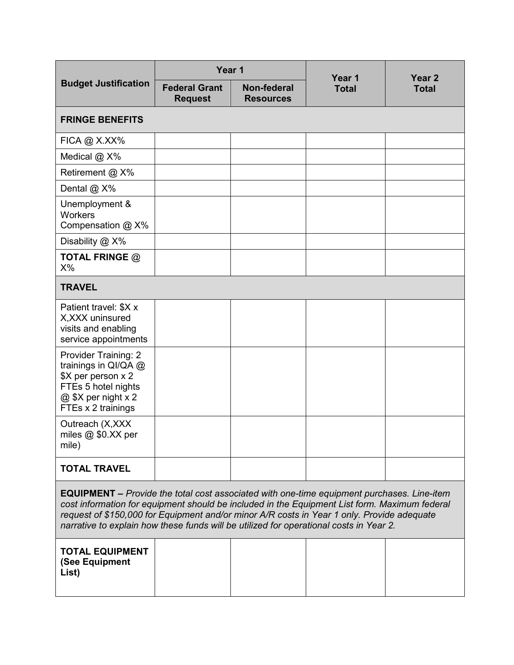|                                                                                                                                                                                                                                                                                                                                                                                            | Year 1                                 |                                        | Year 1       |                        |
|--------------------------------------------------------------------------------------------------------------------------------------------------------------------------------------------------------------------------------------------------------------------------------------------------------------------------------------------------------------------------------------------|----------------------------------------|----------------------------------------|--------------|------------------------|
| <b>Budget Justification</b>                                                                                                                                                                                                                                                                                                                                                                | <b>Federal Grant</b><br><b>Request</b> | <b>Non-federal</b><br><b>Resources</b> | <b>Total</b> | Year 2<br><b>Total</b> |
| <b>FRINGE BENEFITS</b>                                                                                                                                                                                                                                                                                                                                                                     |                                        |                                        |              |                        |
| $FICA @ X.XX\%$                                                                                                                                                                                                                                                                                                                                                                            |                                        |                                        |              |                        |
| Medical @ X%                                                                                                                                                                                                                                                                                                                                                                               |                                        |                                        |              |                        |
| Retirement @ X%                                                                                                                                                                                                                                                                                                                                                                            |                                        |                                        |              |                        |
| Dental @ X%                                                                                                                                                                                                                                                                                                                                                                                |                                        |                                        |              |                        |
| Unemployment &<br><b>Workers</b><br>Compensation @ X%                                                                                                                                                                                                                                                                                                                                      |                                        |                                        |              |                        |
| Disability @ X%                                                                                                                                                                                                                                                                                                                                                                            |                                        |                                        |              |                        |
| TOTAL FRINGE $@$<br>$X\%$                                                                                                                                                                                                                                                                                                                                                                  |                                        |                                        |              |                        |
| <b>TRAVEL</b>                                                                                                                                                                                                                                                                                                                                                                              |                                        |                                        |              |                        |
| Patient travel: \$X x<br>X, XXX uninsured<br>visits and enabling<br>service appointments                                                                                                                                                                                                                                                                                                   |                                        |                                        |              |                        |
| Provider Training: 2<br>trainings in QI/QA @<br>\$X per person x 2<br>FTEs 5 hotel nights<br>@ \$X per night x 2<br>FTEs x 2 trainings                                                                                                                                                                                                                                                     |                                        |                                        |              |                        |
| Outreach (X, XXX<br>miles $@$ \$0.XX per<br>mile)                                                                                                                                                                                                                                                                                                                                          |                                        |                                        |              |                        |
| <b>TOTAL TRAVEL</b>                                                                                                                                                                                                                                                                                                                                                                        |                                        |                                        |              |                        |
| <b>EQUIPMENT –</b> Provide the total cost associated with one-time equipment purchases. Line-item<br>cost information for equipment should be included in the Equipment List form. Maximum federal<br>request of \$150,000 for Equipment and/or minor A/R costs in Year 1 only. Provide adequate<br>narrative to explain how these funds will be utilized for operational costs in Year 2. |                                        |                                        |              |                        |
| <b>TOTAL EQUIPMENT</b><br>(See Equipment<br>List)                                                                                                                                                                                                                                                                                                                                          |                                        |                                        |              |                        |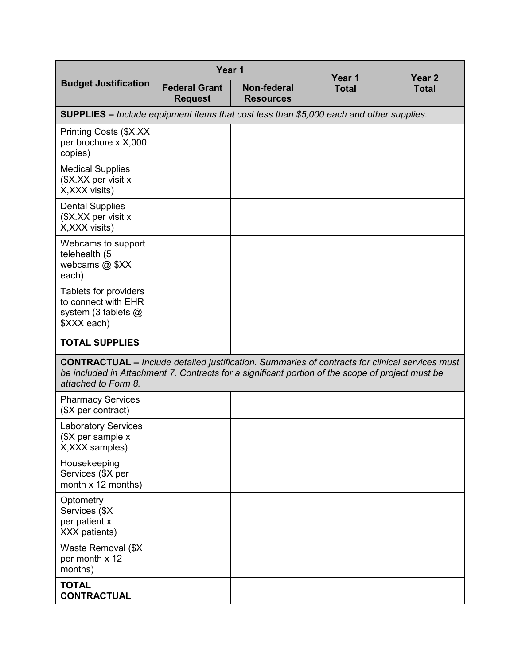|                                                                                                                                                                                                                                   | Year 1                                                                                         |                                 | Year 1       | Year 2<br><b>Total</b> |  |  |
|-----------------------------------------------------------------------------------------------------------------------------------------------------------------------------------------------------------------------------------|------------------------------------------------------------------------------------------------|---------------------------------|--------------|------------------------|--|--|
| <b>Budget Justification</b>                                                                                                                                                                                                       | <b>Federal Grant</b><br><b>Request</b>                                                         | Non-federal<br><b>Resources</b> | <b>Total</b> |                        |  |  |
|                                                                                                                                                                                                                                   | <b>SUPPLIES</b> – Include equipment items that cost less than \$5,000 each and other supplies. |                                 |              |                        |  |  |
| Printing Costs (\$X.XX<br>per brochure x X,000<br>copies)                                                                                                                                                                         |                                                                                                |                                 |              |                        |  |  |
| <b>Medical Supplies</b><br>(\$X.XX per visit x<br>X, XXX visits)                                                                                                                                                                  |                                                                                                |                                 |              |                        |  |  |
| <b>Dental Supplies</b><br>(\$X.XX per visit x<br>X, XXX visits)                                                                                                                                                                   |                                                                                                |                                 |              |                        |  |  |
| Webcams to support<br>telehealth (5<br>webcams @ \$XX<br>each)                                                                                                                                                                    |                                                                                                |                                 |              |                        |  |  |
| Tablets for providers<br>to connect with EHR<br>system (3 tablets $@$<br>\$XXX each)                                                                                                                                              |                                                                                                |                                 |              |                        |  |  |
| <b>TOTAL SUPPLIES</b>                                                                                                                                                                                                             |                                                                                                |                                 |              |                        |  |  |
| <b>CONTRACTUAL</b> – Include detailed justification. Summaries of contracts for clinical services must<br>be included in Attachment 7. Contracts for a significant portion of the scope of project must be<br>attached to Form 8. |                                                                                                |                                 |              |                        |  |  |
| <b>Pharmacy Services</b><br>(\$X per contract)                                                                                                                                                                                    |                                                                                                |                                 |              |                        |  |  |
| <b>Laboratory Services</b><br>(\$X per sample x<br>X, XXX samples)                                                                                                                                                                |                                                                                                |                                 |              |                        |  |  |
| Housekeeping<br>Services (\$X per<br>month x 12 months)                                                                                                                                                                           |                                                                                                |                                 |              |                        |  |  |
| Optometry<br>Services (\$X<br>per patient x<br>XXX patients)                                                                                                                                                                      |                                                                                                |                                 |              |                        |  |  |
| Waste Removal (\$X<br>per month x 12<br>months)                                                                                                                                                                                   |                                                                                                |                                 |              |                        |  |  |
| <b>TOTAL</b><br><b>CONTRACTUAL</b>                                                                                                                                                                                                |                                                                                                |                                 |              |                        |  |  |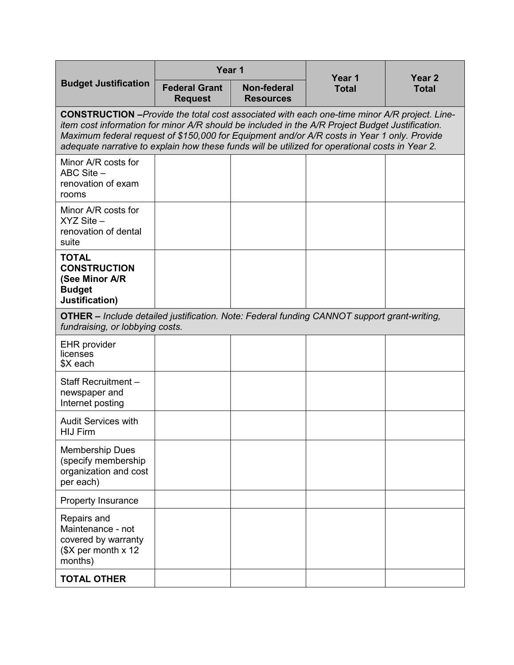|                                                                                                                                                                                                                                                                                                                                                                                                          | Year 1                                 |                                 | Year 1<br><b>Total</b> | Year 2<br><b>Total</b> |  |
|----------------------------------------------------------------------------------------------------------------------------------------------------------------------------------------------------------------------------------------------------------------------------------------------------------------------------------------------------------------------------------------------------------|----------------------------------------|---------------------------------|------------------------|------------------------|--|
| <b>Budget Justification</b>                                                                                                                                                                                                                                                                                                                                                                              | <b>Federal Grant</b><br><b>Request</b> | Non-federal<br><b>Resources</b> |                        |                        |  |
| <b>CONSTRUCTION</b> - Provide the total cost associated with each one-time minor A/R project. Line-<br>item cost information for minor A/R should be included in the A/R Project Budget Justification.<br>Maximum federal request of \$150,000 for Equipment and/or A/R costs in Year 1 only. Provide<br>adequate narrative to explain how these funds will be utilized for operational costs in Year 2. |                                        |                                 |                        |                        |  |
| Minor A/R costs for<br>ABC Site -<br>renovation of exam<br>rooms                                                                                                                                                                                                                                                                                                                                         |                                        |                                 |                        |                        |  |
| Minor A/R costs for<br>$XYZ$ Site $-$<br>renovation of dental<br>suite                                                                                                                                                                                                                                                                                                                                   |                                        |                                 |                        |                        |  |
| <b>TOTAL</b><br><b>CONSTRUCTION</b><br>(See Minor A/R<br><b>Budget</b><br>Justification)                                                                                                                                                                                                                                                                                                                 |                                        |                                 |                        |                        |  |
| <b>OTHER</b> – Include detailed justification. Note: Federal funding CANNOT support grant-writing,<br>fundraising, or lobbying costs.                                                                                                                                                                                                                                                                    |                                        |                                 |                        |                        |  |
| <b>EHR</b> provider<br>licenses<br>\$X each                                                                                                                                                                                                                                                                                                                                                              |                                        |                                 |                        |                        |  |
| Staff Recruitment -<br>newspaper and<br>Internet posting                                                                                                                                                                                                                                                                                                                                                 |                                        |                                 |                        |                        |  |
| <b>Audit Services with</b><br><b>HIJ Firm</b>                                                                                                                                                                                                                                                                                                                                                            |                                        |                                 |                        |                        |  |
| <b>Membership Dues</b><br>(specify membership<br>organization and cost<br>per each)                                                                                                                                                                                                                                                                                                                      |                                        |                                 |                        |                        |  |
| <b>Property Insurance</b>                                                                                                                                                                                                                                                                                                                                                                                |                                        |                                 |                        |                        |  |
| Repairs and<br>Maintenance - not<br>covered by warranty<br>$($X \text{ per month} \times 12)$<br>months)                                                                                                                                                                                                                                                                                                 |                                        |                                 |                        |                        |  |
| <b>TOTAL OTHER</b>                                                                                                                                                                                                                                                                                                                                                                                       |                                        |                                 |                        |                        |  |